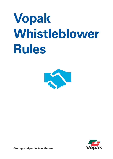# **Vopak Whistleblower Rules**





**Storing vital products with care**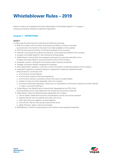# **Whistleblower Rules – 2019**

Rules of conduct for employees (and other stakeholders) of Koninklijke Vopak N.V. ("company") and group companies relating to suspected irregularities.

# **Chapter 1 – DEFINITIONS**

# **Article 1**

In these rules the following terms shall have the following meanings:

- *Audit Committee:* sub-committee of the Supervisory Board, working in the areas as mentioned in the charter for the Audit Committee (available on the website);
- *CEO:* the chief executive officer of the Executive Board of the company;
- *Chairman of the Supervisory Board:* the chairman of the Supervisory Board of the company;
- *company:* Koninklijke Vopak N.V. also referred to as Royal Vopak;
- *Global Director Internal Audit:* the employee working at the corporate head office of the company and responsible for the internal audit function of the company;
- *employee:* a person, working for the company and/or its group companies;
- *manager:* the person directly managing the employee;
- *other stakeholders:* suppliers, customers or other third parties not being employees of the company;
- *suspected irregularity:* a suspicion based on irregularities of a general, operational and/or financial nature in connection with:
	- a. an (imminent) criminal offence;
	- b. an (imminent) violation of laws and regulations;
	- c. an (imminent) intention to provide incorrect information to public bodies;
	- d. violation of rules of conduct applicable within the company;
	- e. (imminent) intentional suppression, destruction or manipulation of information relating to the facts referred to under a. up to and including d.;
- *Trusted Person:* the Global Director Internal Audit, designated by the CEO of the Executive Board to act in that capacity for the company and its group companies;
- *Vopak Values:* means the following values adopted by the company:
	- a. *Care for Safety, Health & Environment:* Sustainability is at the core of every decision
	- b. *Integrity:* We can look at ourselves every day in the mirror
	- c. *Team Spirit:* We work together, we excel together
	- d. *Commitment:* We do what we say, and say what we do
	- e. *Agility:* We learn, adjust, improve and change
- *Whistleblower:* internal or external person who notifies of the suspected irregularity



2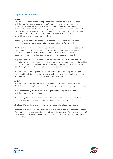# **Chapter 2 – PROCEDURE**

## **Article 2**

- 1. Employees shall report suspected irregularities and/or other issues which are not in line with the Vopak Values, in particular the value "Integrity" internally to their manager or, if they consider reporting to the manager inappropriate, to the responsible manager at the next level above or if they consider reporting to the responsible manager inappropriate, to the Trusted Person. They may also report to the Trusted Person in addition to the manager or the responsible manager. Other stakeholders shall report to the Trusted Person, preferably via email at whistleblower@vopak.com.
- 2. The manager, the responsible manager or Trusted Person shall confirm the notification in writing to the Whistleblower (mostly by e-mail at whistleblower@vopak.com).
- 3. The Trusted Person shall inform the Executive Board, or if he considers this more appropriate, the Chairman of the Supervisory Board, of the notification, of the investigation approach (when deemed necessary) and shall keep the Executive Board, or the Chairman of the Supervisory Board, informed during the investigation (when deemed necessary).
- 4. Depending on the type of notification, the Trusted Person shall appoint the most suitable internalor external person to conduct the investigation with careful consideration for the position of the Whistleblower. The Trusted Person will ensure that the investigation process is executed confidentially by independent, impartial and knowledgeable investigators.
- 5. The Whistleblower and the persons involved in the investigation shall keep the investigation report confidential. No information shall be provided to third parties in or outside the company and its group companies without the consent of the Trusted Person.

#### **Article 3**

- 1. The Whistleblower shall be informed of the outcome of the investigation process by the Trusted Person or directly by the most suitable investigator, depending on the type of notification.
- 2. If deemed necessary, the Whistleblower can reply whether he agrees or disagrees with the outcome of the investigation.
- 3. If the investigation lasts more than four (4) weeks, a preliminary notification of the status of the investigation will be sent to the Whistleblower (mostly by e-mail).
- 4. The Trusted Person shall monitor and ensure that articles 3.1 and 3.2 are always adhered to.
- 5. The Trusted Person shall, in parallel to the notification to the Whistleblower, inform the Executive Board, or if deemed more appropriate the Chairman of the Supervisory Board, of the outcome of the investigation process and of the reply of the Whistleblower to the outcome of the investigation if deemed necessary.

3